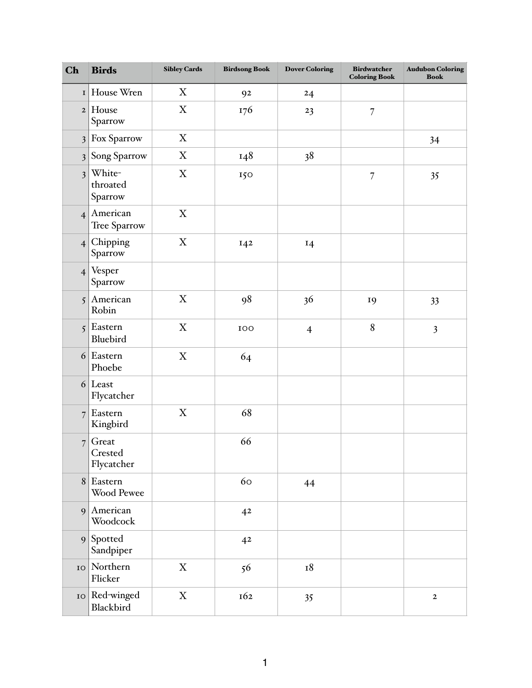| Ch                      | <b>Birds</b>                   | <b>Sibley Cards</b> | <b>Birdsong Book</b> | <b>Dover Coloring</b> | <b>Birdwatcher</b><br><b>Coloring Book</b> | <b>Audubon Coloring</b><br><b>Book</b> |
|-------------------------|--------------------------------|---------------------|----------------------|-----------------------|--------------------------------------------|----------------------------------------|
| I                       | House Wren                     | X                   | 92                   | 24                    |                                            |                                        |
| $\mathbf{2}$            | House<br>Sparrow               | $\mathbf X$         | 176                  | 23                    | $\overline{7}$                             |                                        |
| $\mathfrak{Z}$          | Fox Sparrow                    | X                   |                      |                       |                                            | 34                                     |
| $\overline{\mathbf{3}}$ | Song Sparrow                   | $\mathbf X$         | 148                  | 38                    |                                            |                                        |
| $\overline{\mathbf{3}}$ | White-<br>throated<br>Sparrow  | $\mathbf X$         | 150                  |                       | $\overline{7}$                             | 35                                     |
| $\overline{4}$          | American<br>Tree Sparrow       | $\mathbf X$         |                      |                       |                                            |                                        |
| $\overline{4}$          | Chipping<br>Sparrow            | $\mathbf X$         | 142                  | 14                    |                                            |                                        |
| $\overline{4}$          | Vesper<br>Sparrow              |                     |                      |                       |                                            |                                        |
| 5                       | American<br>Robin              | $\mathbf X$         | 98                   | 36                    | 19                                         | 33                                     |
| 5                       | Eastern<br>Bluebird            | $\mathbf X$         | 100                  | $\overline{4}$        | 8                                          | $\overline{\mathbf{3}}$                |
| 6                       | Eastern<br>Phoebe              | $\mathbf X$         | 64                   |                       |                                            |                                        |
| 6                       | Least<br>Flycatcher            |                     |                      |                       |                                            |                                        |
| $\overline{7}$          | Eastern<br>Kingbird            | $\mathbf X$         | 68                   |                       |                                            |                                        |
| $\overline{7}$          | Great<br>Crested<br>Flycatcher |                     | 66                   |                       |                                            |                                        |
| 8 <sup>1</sup>          | Eastern<br>Wood Pewee          |                     | 60                   | 44                    |                                            |                                        |
| $\vert 9 \vert$         | American<br>Woodcock           |                     | 4 <sup>2</sup>       |                       |                                            |                                        |
| 9 <sup>1</sup>          | Spotted<br>Sandpiper           |                     | 4 <sup>2</sup>       |                       |                                            |                                        |
| IO                      | Northern<br>Flicker            | $\mathbf X$         | 56                   | 18                    |                                            |                                        |
| ${\bf IO}$              | Red-winged<br>Blackbird        | $\mathbf X$         | 162                  | 35                    |                                            | $\mathbf 2$                            |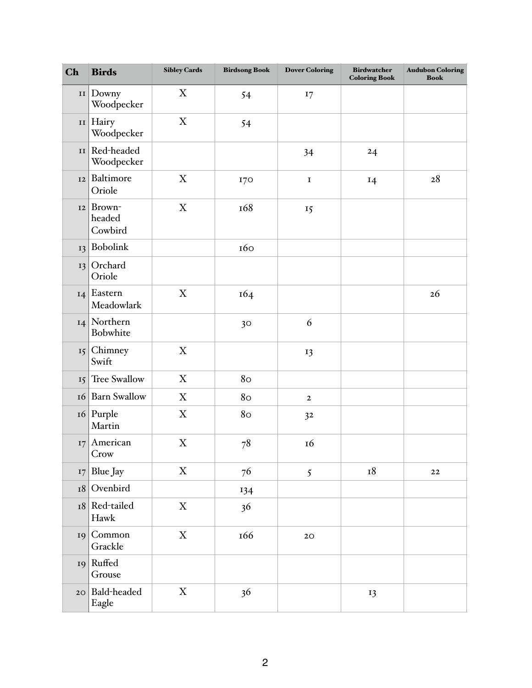| Ch         | <b>Birds</b>                | <b>Sibley Cards</b>       | <b>Birdsong Book</b> | <b>Dover Coloring</b> | <b>Birdwatcher</b><br><b>Coloring Book</b> | <b>Audubon Coloring</b><br><b>Book</b> |
|------------|-----------------------------|---------------------------|----------------------|-----------------------|--------------------------------------------|----------------------------------------|
| II         | Downy<br>Woodpecker         | X                         | 54                   | I7                    |                                            |                                        |
| II         | Hairy<br>Woodpecker         | $\mathbf X$               | 54                   |                       |                                            |                                        |
| II         | Red-headed<br>Woodpecker    |                           |                      | 34                    | 24                                         |                                        |
| 12         | Baltimore<br>Oriole         | $\boldsymbol{\mathrm{X}}$ | I70                  | $\mathbf I$           | 14                                         | 28                                     |
| 12         | Brown-<br>headed<br>Cowbird | $\mathbf X$               | 168                  | 15                    |                                            |                                        |
| 13         | Bobolink                    |                           | 160                  |                       |                                            |                                        |
| 13         | Orchard<br>Oriole           |                           |                      |                       |                                            |                                        |
| 14         | Eastern<br>Meadowlark       | $\mathbf X$               | 164                  |                       |                                            | 26                                     |
| 14         | Northern<br>Bobwhite        |                           | 30                   | 6                     |                                            |                                        |
| $15 \vert$ | Chimney<br>Swift            | $\boldsymbol{\mathrm{X}}$ |                      | 13                    |                                            |                                        |
| 15         | Tree Swallow                | $\mathbf X$               | 80                   |                       |                                            |                                        |
| <b>16</b>  | <b>Barn Swallow</b>         | $\mathbf X$               | 80                   | $\boldsymbol{2}$      |                                            |                                        |
| 16         | Purple<br>Martin            | $\boldsymbol{\mathrm{X}}$ | 80                   | 32                    |                                            |                                        |
| 17         | American<br>Crow            | $\mathbf X$               | 78                   | 16                    |                                            |                                        |
| 17         | Blue Jay                    | $\mathbf X$               | 76                   | 5                     | $^{\rm I8}$                                | $\bf{22}$                              |
| 18         | Ovenbird                    |                           | 134                  |                       |                                            |                                        |
| 18         | Red-tailed<br>Hawk          | $\mathbf X$               | 36                   |                       |                                            |                                        |
| 19         | Common<br>Grackle           | $\boldsymbol{\mathrm{X}}$ | 166                  | $2\textrm{O}$         |                                            |                                        |
| 19         | Ruffed<br>Grouse            |                           |                      |                       |                                            |                                        |
| 20         | Bald-headed<br>Eagle        | $\mathbf X$               | 36                   |                       | 13                                         |                                        |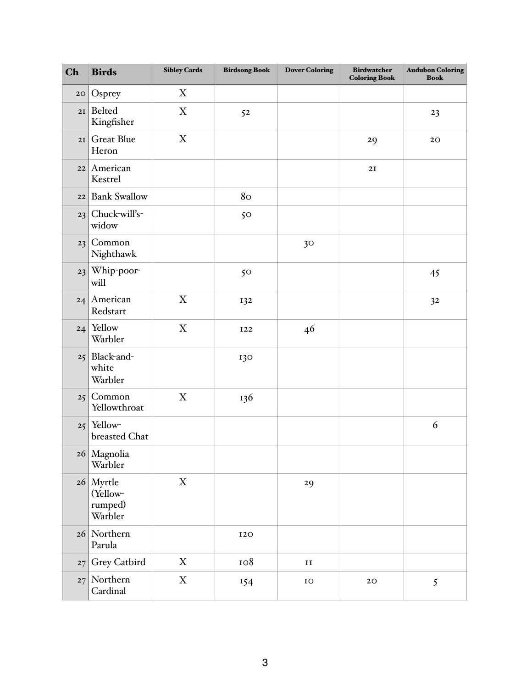| Ch | <b>Birds</b>                                  | <b>Sibley Cards</b>       | <b>Birdsong Book</b> | <b>Dover Coloring</b> | <b>Birdwatcher</b><br><b>Coloring Book</b> | <b>Audubon Coloring</b><br><b>Book</b> |
|----|-----------------------------------------------|---------------------------|----------------------|-----------------------|--------------------------------------------|----------------------------------------|
| 20 | Osprey                                        | X                         |                      |                       |                                            |                                        |
| 2I | Belted<br>Kingfisher                          | $\mathbf X$               | 52                   |                       |                                            | 23                                     |
| 2I | <b>Great Blue</b><br>Heron                    | $\mathbf X$               |                      |                       | 29                                         | 20                                     |
| 22 | American<br>Kestrel                           |                           |                      |                       | 2I                                         |                                        |
| 22 | <b>Bank Swallow</b>                           |                           | 80                   |                       |                                            |                                        |
| 23 | Chuck-will's-<br>widow                        |                           | 50                   |                       |                                            |                                        |
| 23 | Common<br>Nighthawk                           |                           |                      | 30                    |                                            |                                        |
| 23 | Whip-poor-<br>will                            |                           | 50                   |                       |                                            | 45                                     |
| 24 | American<br>Redstart                          | $\boldsymbol{\mathrm{X}}$ | 132                  |                       |                                            | 3 <sup>2</sup>                         |
| 24 | Yellow<br>Warbler                             | $\boldsymbol{\mathrm{X}}$ | <b>I22</b>           | 46                    |                                            |                                        |
| 25 | Black-and-<br>white<br>Warbler                |                           | 130                  |                       |                                            |                                        |
| 25 | Common<br>Yellowthroat                        | $\mathbf X$               | 136                  |                       |                                            |                                        |
| 25 | Yellow-<br>breasted Chat                      |                           |                      |                       |                                            | 6                                      |
|    | 26 Magnolia<br>Warbler                        |                           |                      |                       |                                            |                                        |
|    | $26$ Myrtle<br>(Yellow-<br>rumped)<br>Warbler | $\mathbf X$               |                      | 29                    |                                            |                                        |
| 26 | Northern<br>Parula                            |                           | <b>I2O</b>           |                       |                                            |                                        |
| 27 | Grey Catbird                                  | X                         | 108                  | $\mathbf{II}$         |                                            |                                        |
|    | 27 Northern<br>Cardinal                       | $\mathbf X$               | 154                  | $\rm IO$              | $2\textrm{O}$                              | 5                                      |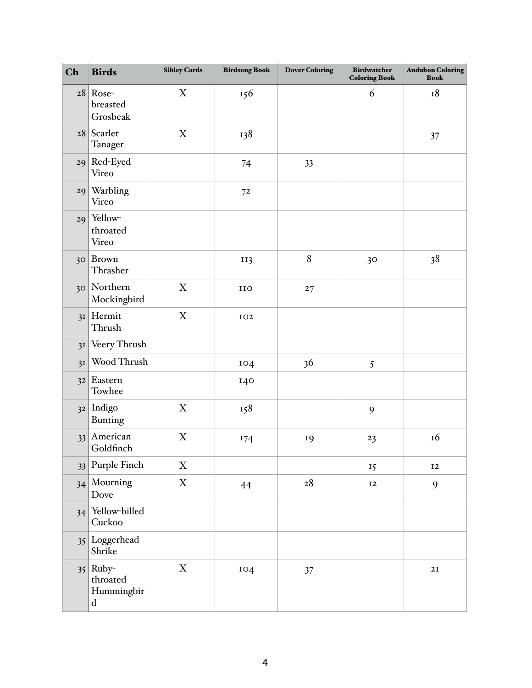| Ch              | <b>Birds</b>                                        | <b>Sibley Cards</b>       | <b>Birdsong Book</b> | <b>Dover Coloring</b> | <b>Birdwatcher</b><br><b>Coloring Book</b> | <b>Audubon Coloring</b><br><b>Book</b> |
|-----------------|-----------------------------------------------------|---------------------------|----------------------|-----------------------|--------------------------------------------|----------------------------------------|
| 28              | Rose-<br>breasted<br>Grosbeak                       | X                         | 156                  |                       | 6                                          | 18                                     |
| 28              | Scarlet<br>Tanager                                  | X                         | 138                  |                       |                                            | 37                                     |
| 29              | Red-Eyed<br>Vireo                                   |                           | 74                   | 33                    |                                            |                                        |
| 29              | Warbling<br>Vireo                                   |                           | 7 <sup>2</sup>       |                       |                                            |                                        |
| 29              | Yellow-<br>throated<br>Vireo                        |                           |                      |                       |                                            |                                        |
| 30 <sup>°</sup> | Brown<br>Thrasher                                   |                           | II3                  | 8                     | 30                                         | 38                                     |
| 30 <sup>°</sup> | Northern<br>Mockingbird                             | X                         | IIO                  | 27                    |                                            |                                        |
| 3I              | Hermit<br>Thrush                                    | X                         | IO2                  |                       |                                            |                                        |
| 3I              | Veery Thrush                                        |                           |                      |                       |                                            |                                        |
| 3I              | Wood Thrush                                         |                           | IO4                  | 36                    | 5                                          |                                        |
| 3 <sup>2</sup>  | Eastern<br>Towhee                                   |                           | I40                  |                       |                                            |                                        |
|                 | $32$ Indigo<br>Bunting                              | $\mathbf X$               | 158                  |                       | 9                                          |                                        |
| 33              | American<br>Goldfinch                               | $\boldsymbol{\mathrm{X}}$ | I74                  | 19                    | 23                                         | <b>16</b>                              |
| 33              | Purple Finch                                        | $\mathbf X$               |                      |                       | 15                                         | $\bf I2$                               |
| 34              | Mourning<br>Dove                                    | $\mathbf X$               | 44                   | $\sqrt{28}$           | $\bf I2$                                   | 9                                      |
| 34              | Yellow-billed<br>Cuckoo                             |                           |                      |                       |                                            |                                        |
|                 | 35 Loggerhead<br>Shrike                             |                           |                      |                       |                                            |                                        |
|                 | $35$ Ruby-<br>throated<br>Hummingbir<br>$\mathbf d$ | $\mathbf X$               | IO4                  | 37                    |                                            | 2I                                     |